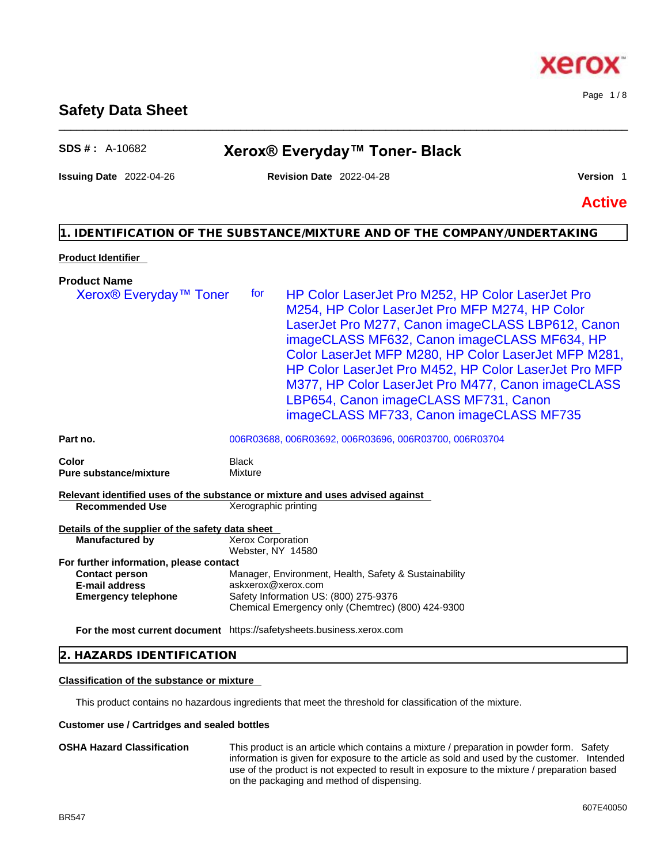#### **2. HAZARDS IDENTIFICATION**

#### **Classification of the substance or mixture**

This product contains no hazardous ingredients that meet the threshold for classification of the mixture.

#### **Customer use / Cartridges and sealed bottles**

**OSHA Hazard Classification** This product is an article which contains a mixture / preparation in powder form. Safety information is given for exposure to the article as sold and used by the customer. Intended use of the product is not expected to result in exposure to the mixture / preparation based on the packaging and method of dispensing.

# **SDS # :** A-10682 **Xerox® Everyday™ Toner- Black**

\_\_\_\_\_\_\_\_\_\_\_\_\_\_\_\_\_\_\_\_\_\_\_\_\_\_\_\_\_\_\_\_\_\_\_\_\_\_\_\_\_\_\_\_\_\_\_\_\_\_\_\_\_\_\_\_\_\_\_\_\_\_\_\_\_\_\_\_\_\_\_\_\_\_\_\_\_\_\_\_\_\_\_\_\_\_\_\_\_\_\_\_\_\_

**Issuing Date** 2022-04-26 **Revision Date** 2022-04-28 **Version** 1

Page 1 / 8

xero

**Active**

## **1. IDENTIFICATION OF THE SUBSTANCE/MIXTURE AND OF THE COMPANY/UNDERTAKING**

#### **Product Identifier**

| <b>Product Name</b>                                                          |                                                                                                                                                                                                                                                                                                                                                                                                                                                                             |
|------------------------------------------------------------------------------|-----------------------------------------------------------------------------------------------------------------------------------------------------------------------------------------------------------------------------------------------------------------------------------------------------------------------------------------------------------------------------------------------------------------------------------------------------------------------------|
| Xerox <sup>®</sup> Everyday <sup>™</sup> Toner                               | HP Color LaserJet Pro M252, HP Color LaserJet Pro<br>for<br>M254, HP Color LaserJet Pro MFP M274, HP Color<br>LaserJet Pro M277, Canon imageCLASS LBP612, Canon<br>imageCLASS MF632, Canon imageCLASS MF634, HP<br>Color LaserJet MFP M280, HP Color LaserJet MFP M281,<br>HP Color LaserJet Pro M452, HP Color LaserJet Pro MFP<br>M377, HP Color LaserJet Pro M477, Canon imageCLASS<br>LBP654, Canon imageCLASS MF731, Canon<br>imageCLASS MF733, Canon imageCLASS MF735 |
| Part no.                                                                     | 006R03688, 006R03692, 006R03696, 006R03700, 006R03704                                                                                                                                                                                                                                                                                                                                                                                                                       |
| Color<br><b>Pure substance/mixture</b>                                       | <b>Black</b><br>Mixture                                                                                                                                                                                                                                                                                                                                                                                                                                                     |
|                                                                              | Relevant identified uses of the substance or mixture and uses advised against                                                                                                                                                                                                                                                                                                                                                                                               |
| <b>Recommended Use</b>                                                       | Xerographic printing                                                                                                                                                                                                                                                                                                                                                                                                                                                        |
| Details of the supplier of the safety data sheet<br><b>Manufactured by</b>   | <b>Xerox Corporation</b><br>Webster, NY 14580                                                                                                                                                                                                                                                                                                                                                                                                                               |
| For further information, please contact                                      |                                                                                                                                                                                                                                                                                                                                                                                                                                                                             |
| <b>Contact person</b><br><b>E-mail address</b><br><b>Emergency telephone</b> | Manager, Environment, Health, Safety & Sustainability<br>askxerox@xerox.com<br>Safety Information US: (800) 275-9376<br>Chemical Emergency only (Chemtrec) (800) 424-9300                                                                                                                                                                                                                                                                                                   |
|                                                                              | For the most current document https://safetysheets.business.xerox.com                                                                                                                                                                                                                                                                                                                                                                                                       |
|                                                                              |                                                                                                                                                                                                                                                                                                                                                                                                                                                                             |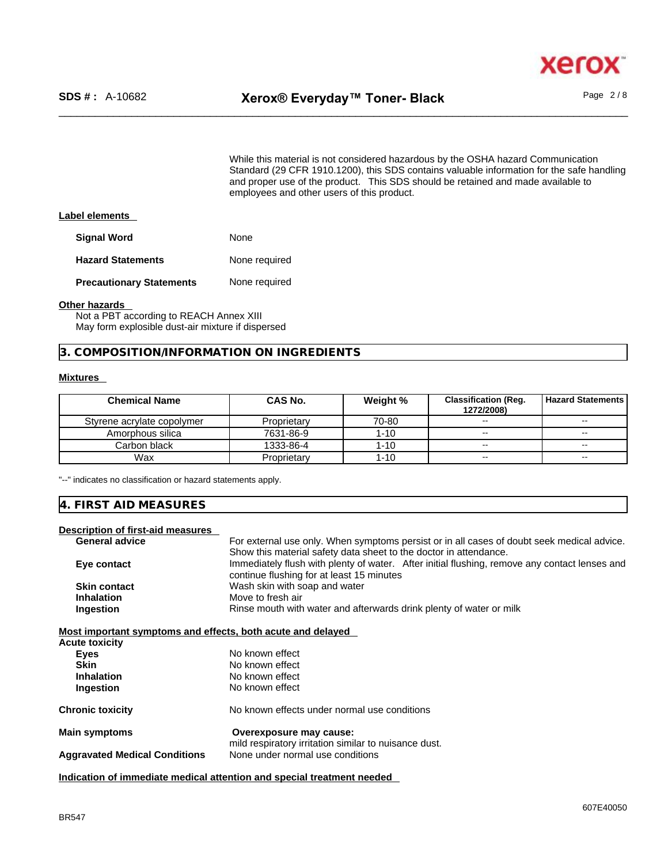While this material is not considered hazardous by the OSHA hazard Communication Standard (29 CFR 1910.1200), this SDS contains valuable information for the safe handling and proper use of the product. This SDS should be retained and made available to employees and other users of this product.

#### **Label elements**

| <b>Signal Word</b>              | None          |
|---------------------------------|---------------|
| <b>Hazard Statements</b>        | None required |
| <b>Precautionary Statements</b> | None required |

#### **Other hazards**

Not a PBT according to REACH Annex XIII May form explosible dust-air mixture if dispersed

**3. COMPOSITION/INFORMATION ON INGREDIENTS** 

#### **Mixtures**

| <b>Chemical Name</b>       | CAS No.     | Weight % | <b>Classification (Reg.</b><br>1272/2008) | <b>Hazard Statements</b> |
|----------------------------|-------------|----------|-------------------------------------------|--------------------------|
| Styrene acrylate copolymer | Proprietary | 70-80    | $\sim$                                    | $\sim$                   |
| Amorphous silica           | 7631-86-9   | $1 - 10$ | $- -$                                     | $\overline{\phantom{m}}$ |
| Carbon black               | 1333-86-4   | $1 - 10$ | $\sim$                                    | $\sim$                   |
| Wax                        | Proprietary | $1 - 10$ | $\sim$                                    | $\sim$                   |

"--" indicates no classification or hazard statements apply.

#### **4. FIRST AID MEASURES**

## **Description of first-aid measures**

| Desemption of mot aid measures                              |                                                                                                                                            |
|-------------------------------------------------------------|--------------------------------------------------------------------------------------------------------------------------------------------|
| <b>General advice</b>                                       | For external use only. When symptoms persist or in all cases of doubt seek medical advice.                                                 |
|                                                             | Show this material safety data sheet to the doctor in attendance.                                                                          |
| Eye contact                                                 | Immediately flush with plenty of water. After initial flushing, remove any contact lenses and<br>continue flushing for at least 15 minutes |
| <b>Skin contact</b>                                         | Wash skin with soap and water                                                                                                              |
| <b>Inhalation</b>                                           | Move to fresh air                                                                                                                          |
| Ingestion                                                   | Rinse mouth with water and afterwards drink plenty of water or milk                                                                        |
| Most important symptoms and effects, both acute and delayed |                                                                                                                                            |
| <b>Acute toxicity</b>                                       |                                                                                                                                            |
| <b>Eyes</b>                                                 | No known effect                                                                                                                            |
| <b>Skin</b>                                                 | No known effect                                                                                                                            |
| <b>Inhalation</b>                                           | No known effect                                                                                                                            |
| Ingestion                                                   | No known effect                                                                                                                            |
|                                                             |                                                                                                                                            |
| <b>Chronic toxicity</b>                                     | No known effects under normal use conditions                                                                                               |
|                                                             |                                                                                                                                            |
| <b>Main symptoms</b>                                        | Overexposure may cause:                                                                                                                    |
|                                                             | mild respiratory irritation similar to nuisance dust.                                                                                      |
| <b>Aggravated Medical Conditions</b>                        | None under normal use conditions                                                                                                           |
|                                                             |                                                                                                                                            |

**Indication of immediate medical attention and special treatment needed**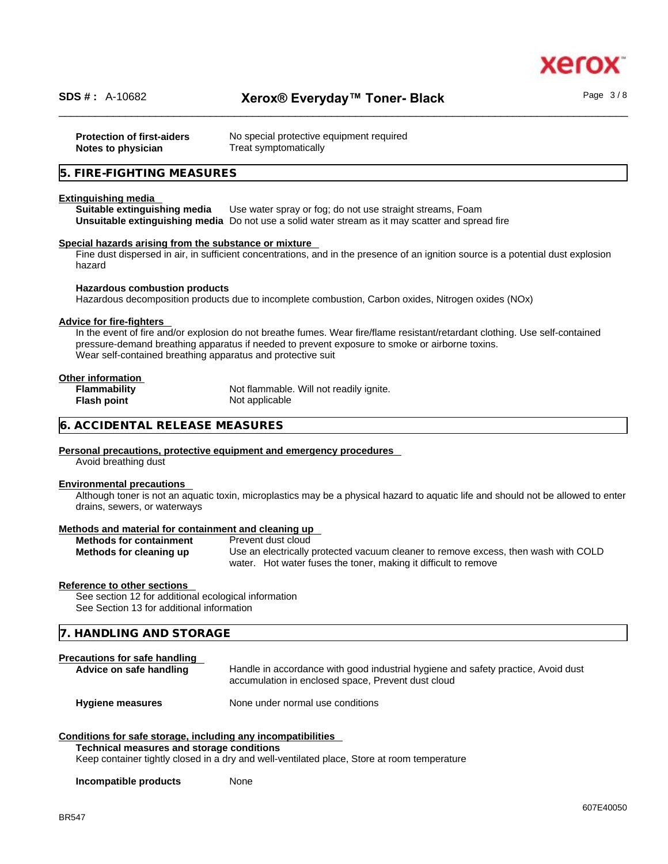

| <b>Protection of first-aiders</b><br>Notes to physician | No special protective equipment required<br>Treat symptomatically |
|---------------------------------------------------------|-------------------------------------------------------------------|
| 5. FIRE-FIGHTING MEASURES                               |                                                                   |
|                                                         |                                                                   |

#### **Extinguishing media**

**Suitable extinguishing media** Use water spray or fog; do not use straight streams, Foam **Unsuitable extinguishing media** Do not use a solid water stream as it may scatterand spread fire

#### **Special hazards arising from the substance or mixture**

Fine dust dispersed in air, in sufficient concentrations, and in the presence of an ignition source is a potential dust explosion hazard

# **Hazardous combustion products**

Hazardous decomposition products due to incomplete combustion, Carbon oxides, Nitrogen oxides (NOx)

#### **Advice for fire-fighters**

In the event of fire and/or explosion do not breathe fumes. Wear fire/flame resistant/retardant clothing. Use self-contained pressure-demand breathing apparatus if needed to prevent exposure to smoke or airborne toxins. Wear self-contained breathing apparatus and protective suit

#### **Other information**

| <b>Flammability</b> | Not flammable. Will not readily ignite. |
|---------------------|-----------------------------------------|
| Flash point         | Not applicable                          |

#### **6. ACCIDENTAL RELEASE MEASURES**

#### **Personal precautions, protective equipment and emergency procedures**

Avoid breathing dust

#### **Environmental precautions**

Although toner is not an aquatic toxin, microplastics may be a physical hazard to aquatic life and should not be allowed to enter drains, sewers, or waterways

#### **Methods and material for containment and cleaning up**

| <b>Methods for containment</b> | Prevent dust cloud                                                                 |
|--------------------------------|------------------------------------------------------------------------------------|
| Methods for cleaning up        | Use an electrically protected vacuum cleaner to remove excess, then wash with COLD |
|                                | water. Hot water fuses the toner, making it difficult to remove                    |

#### **Reference to other sections**

See section 12 for additional ecological information See Section 13 for additional information

#### **7. HANDLING AND STORAGE**

#### **Precautions for safe handling**

Advice on safe handling **Handle** in accordance with good industrial hygiene and safety practice, Avoid dust accumulation in enclosed space, Prevent dust cloud

# **Hygiene measures** None under normal use conditions

#### **Conditions for safe storage, including any incompatibilities**

**Technical measures and storage conditions**

Keep container tightly closed in a dry and well-ventilated place, Store at room temperature

#### **Incompatible products** None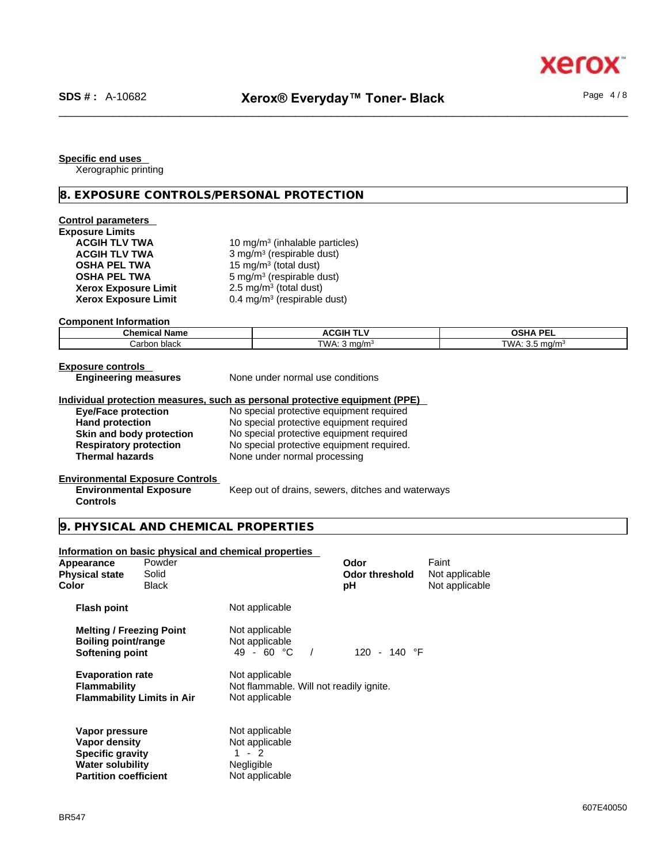Page 4 / 8

**Specific end uses** 

Xerographic printing

**8. EXPOSURE CONTROLS/PERSONAL PROTECTION** 

| <b>Control parameters</b><br><b>Exposure Limits</b><br><b>ACGIH TLV TWA</b><br><b>ACGIH TLV TWA</b><br><b>OSHA PEL TWA</b><br><b>OSHA PEL TWA</b><br><b>Xerox Exposure Limit</b><br><b>Xerox Exposure Limit</b> |                                                                             | 10 mg/m <sup>3</sup> (inhalable particles)<br>3 mg/m <sup>3</sup> (respirable dust)<br>15 mg/m <sup>3</sup> (total dust)<br>5 mg/m <sup>3</sup> (respirable dust)<br>2.5 mg/m <sup>3</sup> (total dust)<br>$0.4$ mg/m <sup>3</sup> (respirable dust) |                                                                                      |                                           |                            |
|-----------------------------------------------------------------------------------------------------------------------------------------------------------------------------------------------------------------|-----------------------------------------------------------------------------|------------------------------------------------------------------------------------------------------------------------------------------------------------------------------------------------------------------------------------------------------|--------------------------------------------------------------------------------------|-------------------------------------------|----------------------------|
| <b>Component Information</b>                                                                                                                                                                                    |                                                                             |                                                                                                                                                                                                                                                      |                                                                                      |                                           |                            |
| <b>Chemical Name</b>                                                                                                                                                                                            |                                                                             |                                                                                                                                                                                                                                                      | <b>ACGIH TLV</b>                                                                     |                                           | <b>OSHA PEL</b>            |
| Carbon black                                                                                                                                                                                                    |                                                                             |                                                                                                                                                                                                                                                      | TWA: $3$ mg/m <sup>3</sup>                                                           |                                           | TWA: 3.5 mg/m <sup>3</sup> |
| <b>Exposure controls</b><br><b>Engineering measures</b>                                                                                                                                                         |                                                                             | None under normal use conditions                                                                                                                                                                                                                     |                                                                                      |                                           |                            |
| Individual protection measures, such as personal protective equipment (PPE)                                                                                                                                     |                                                                             |                                                                                                                                                                                                                                                      |                                                                                      |                                           |                            |
| <b>Eye/Face protection</b><br><b>Hand protection</b>                                                                                                                                                            |                                                                             |                                                                                                                                                                                                                                                      | No special protective equipment required<br>No special protective equipment required |                                           |                            |
| Skin and body protection                                                                                                                                                                                        |                                                                             |                                                                                                                                                                                                                                                      | No special protective equipment required                                             |                                           |                            |
| <b>Respiratory protection</b>                                                                                                                                                                                   |                                                                             |                                                                                                                                                                                                                                                      | No special protective equipment required.                                            |                                           |                            |
| <b>Thermal hazards</b>                                                                                                                                                                                          |                                                                             | None under normal processing                                                                                                                                                                                                                         |                                                                                      |                                           |                            |
|                                                                                                                                                                                                                 |                                                                             |                                                                                                                                                                                                                                                      |                                                                                      |                                           |                            |
| <b>Environmental Exposure Controls</b><br><b>Environmental Exposure</b><br><b>Controls</b>                                                                                                                      |                                                                             |                                                                                                                                                                                                                                                      | Keep out of drains, sewers, ditches and waterways                                    |                                           |                            |
| 9. PHYSICAL AND CHEMICAL PROPERTIES                                                                                                                                                                             |                                                                             |                                                                                                                                                                                                                                                      |                                                                                      |                                           |                            |
| Information on basic physical and chemical properties<br>Powder<br>Appearance<br><b>Physical state</b><br>Solid<br><b>Color</b><br><b>Black</b>                                                                 |                                                                             |                                                                                                                                                                                                                                                      | Odor<br><b>Odor threshold</b><br>рH                                                  | Faint<br>Not applicable<br>Not applicable |                            |
| <b>Flash point</b>                                                                                                                                                                                              | Not applicable                                                              |                                                                                                                                                                                                                                                      |                                                                                      |                                           |                            |
| <b>Melting / Freezing Point</b><br><b>Boiling point/range</b><br>Softening point                                                                                                                                | Not applicable<br>Not applicable<br>49 - 60 $^{\circ}$ C                    | $\sqrt{ }$                                                                                                                                                                                                                                           | 120 - 140 $\degree$ F                                                                |                                           |                            |
| <b>Evaporation rate</b><br><b>Flammability</b><br><b>Flammability Limits in Air</b>                                                                                                                             | Not applicable<br>Not applicable                                            | Not flammable. Will not readily ignite.                                                                                                                                                                                                              |                                                                                      |                                           |                            |
| Vapor pressure<br>Vapor density<br><b>Specific gravity</b><br><b>Water solubility</b><br><b>Partition coefficient</b>                                                                                           | Not applicable<br>Not applicable<br>$1 - 2$<br>Negligible<br>Not applicable |                                                                                                                                                                                                                                                      |                                                                                      |                                           |                            |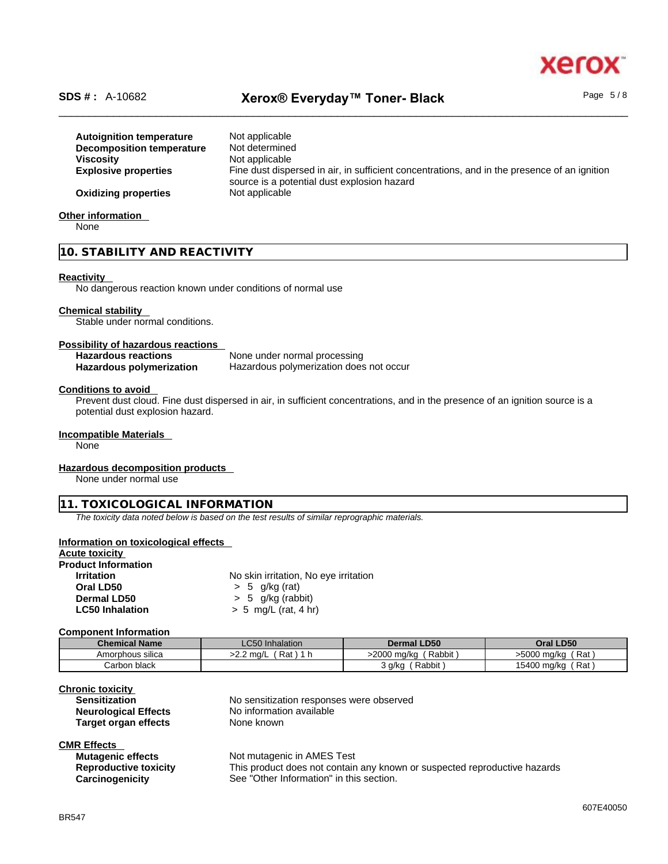# xero

Page 5 / 8

# \_\_\_\_\_\_\_\_\_\_\_\_\_\_\_\_\_\_\_\_\_\_\_\_\_\_\_\_\_\_\_\_\_\_\_\_\_\_\_\_\_\_\_\_\_\_\_\_\_\_\_\_\_\_\_\_\_\_\_\_\_\_\_\_\_\_\_\_\_\_\_\_\_\_\_\_\_\_\_\_\_\_\_\_\_\_\_\_\_\_\_\_\_\_ **SDS # :** A-10682 **Xerox® Everyday™ Toner- Black**

| <b>Autoignition temperature</b> | Not applicable                                                                               |
|---------------------------------|----------------------------------------------------------------------------------------------|
| Decomposition temperature       | Not determined                                                                               |
| <b>Viscosity</b>                | Not applicable                                                                               |
| <b>Explosive properties</b>     | Fine dust dispersed in air, in sufficient concentrations, and in the presence of an ignition |
| <b>Oxidizing properties</b>     | source is a potential dust explosion hazard<br>Not applicable                                |

## **Other information**

None

**10. STABILITY AND REACTIVITY** 

#### **Reactivity**

No dangerous reaction known under conditions of normal use

# **Chemical stability**

Stable under normal conditions.

#### **Possibility of hazardous reactions**

| <b>Hazardous reactions</b> | None under normal processing            |
|----------------------------|-----------------------------------------|
| Hazardous polymerization   | Hazardous polymerization does not occur |

#### **Conditions to avoid**

Prevent dust cloud. Fine dust dispersed in air, in sufficient concentrations, and in the presence of an ignition source is a potential dust explosion hazard.

#### **Incompatible Materials**

None

#### **Hazardous decomposition products**

None under normal use

#### **11. TOXICOLOGICAL INFORMATION**

*The toxicity data noted below is based on the test results of similar reprographic materials.* 

#### **Information on toxicological effects**

# **Acute toxicity**

| <b>Product Information</b> |                                       |
|----------------------------|---------------------------------------|
| <b>Irritation</b>          | No skin irritation, No eye irritation |
| Oral LD50                  | $> 5$ g/kg (rat)                      |
| Dermal LD50                | $> 5$ g/kg (rabbit)                   |
| <b>LC50 Inhalation</b>     | $> 5$ mg/L (rat, 4 hr)                |

#### **Component Information**

| <b>Chemical Name</b> | <b>LC50</b> Inhalation | Dermal LD50           | Oral LD50              |
|----------------------|------------------------|-----------------------|------------------------|
| Amorphous silica     | Rat<br>>2.2 ma/L       | Rabbit<br>>2000 mg/kg | ˈRat]<br>>5000 mg/kg   |
| Carbon black         |                        | Rabbit<br>3 g/kg      | ' Rat 」<br>15400 mg/kg |

| <b>Chronic toxicity</b>     |   |
|-----------------------------|---|
| <b>Sensitization</b>        | N |
| <b>Neurological Effects</b> | N |
| <b>Target organ effects</b> | N |

No sensitization responses were observed **Example 20** No information available **None known** 

# **CMR Effects**

| Mutagenic effects            | Not mutagenic in AMES Test                                                |
|------------------------------|---------------------------------------------------------------------------|
| <b>Reproductive toxicity</b> | This product does not contain any known or suspected reproductive hazards |
| <b>Carcinogenicity</b>       | See "Other Information" in this section.                                  |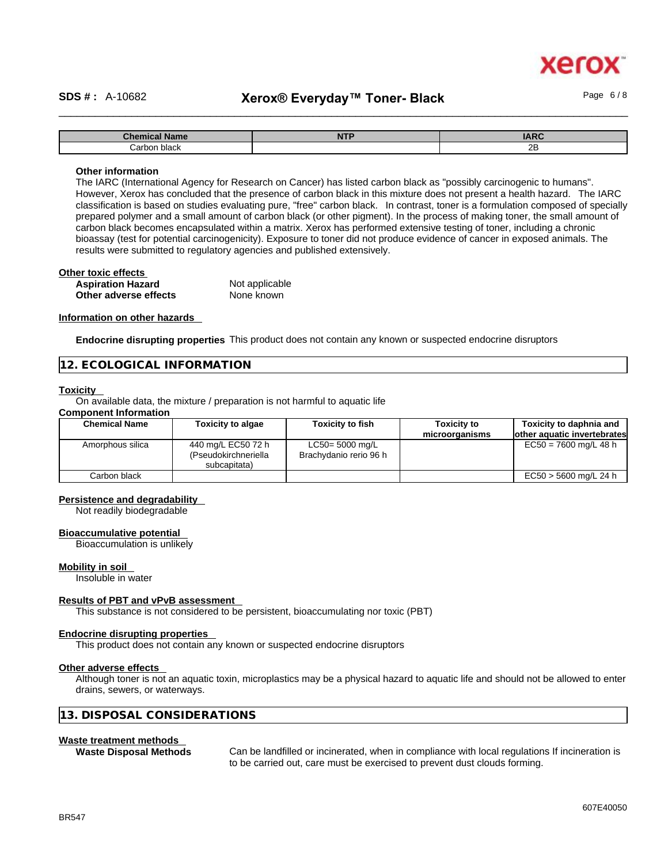# \_\_\_\_\_\_\_\_\_\_\_\_\_\_\_\_\_\_\_\_\_\_\_\_\_\_\_\_\_\_\_\_\_\_\_\_\_\_\_\_\_\_\_\_\_\_\_\_\_\_\_\_\_\_\_\_\_\_\_\_\_\_\_\_\_\_\_\_\_\_\_\_\_\_\_\_\_\_\_\_\_\_\_\_\_\_\_\_\_\_\_\_\_\_ **SDS # :** A-10682 **Xerox® Everyday™ Toner- Black**

xerc

| `h^m<br><b>Name</b><br>— UNCHILGI — | <b>AITF</b><br>14 L L | <b>IARC</b> |
|-------------------------------------|-----------------------|-------------|
| شarbor.<br>black                    |                       | 2B          |

#### **Other information**

The IARC (International Agency for Research on Cancer) has listed carbon black as "possibly carcinogenic to humans". However, Xerox has concluded that the presence of carbon black in this mixture does not present a health hazard. The IARC classification is based on studies evaluating pure, "free" carbon black. In contrast, toner is a formulation composed of specially prepared polymer and a small amount of carbon black (or other pigment). In the process of making toner, the small amount of carbon black becomes encapsulated within a matrix. Xerox has performed extensive testing of toner, including a chronic bioassay (test for potential carcinogenicity). Exposure to toner did not produce evidence of cancer in exposed animals. The results were submitted to regulatory agencies and published extensively.

| Other toxic effects      |                |  |
|--------------------------|----------------|--|
| <b>Aspiration Hazard</b> | Not applicable |  |
| Other adverse effects    | None known     |  |

#### **Information on other hazards**

**Endocrine disrupting properties** This product does not contain any known or suspected endocrine disruptors

#### **12. ECOLOGICAL INFORMATION**

#### **Toxicity**

On available data, the mixture / preparation is not harmful to aquatic life

## **Component Information**

| <b>Chemical Name</b> | <b>Toxicity to algae</b>                                   | <b>Toxicity to fish</b>                      | <b>Toxicity to</b><br>microorganisms | Toxicity to daphnia and<br>lother aquatic invertebrates |
|----------------------|------------------------------------------------------------|----------------------------------------------|--------------------------------------|---------------------------------------------------------|
| Amorphous silica     | 440 mg/L EC50 72 h<br>(Pseudokirchneriella<br>subcapitata) | $LC50 = 5000$ mg/L<br>Brachydanio rerio 96 h |                                      | $EC50 = 7600$ mg/L 48 h                                 |
| Carbon black         |                                                            |                                              |                                      | EC50 > 5600 mg/L 24 h                                   |

#### **Persistence and degradability**

Not readily biodegradable

#### **Bioaccumulative potential**

Bioaccumulation is unlikely

#### **Mobility in soil**

Insoluble in water

#### **Results of PBT and vPvB assessment**

This substance is not considered to be persistent, bioaccumulating nor toxic (PBT)

#### **Endocrine disrupting properties**

This product does not contain any known or suspected endocrine disruptors

#### **Other adverse effects**

Although toner is not an aquatic toxin, microplastics may be a physical hazard to aquatic life and should not be allowed to enter drains, sewers, or waterways.

#### **13. DISPOSAL CONSIDERATIONS**

#### **Waste treatment methods**

**Waste Disposal Methods** Can be landfilled or incinerated, when in compliance with local regulations If incineration is to be carried out, care must be exercised to prevent dust clouds forming.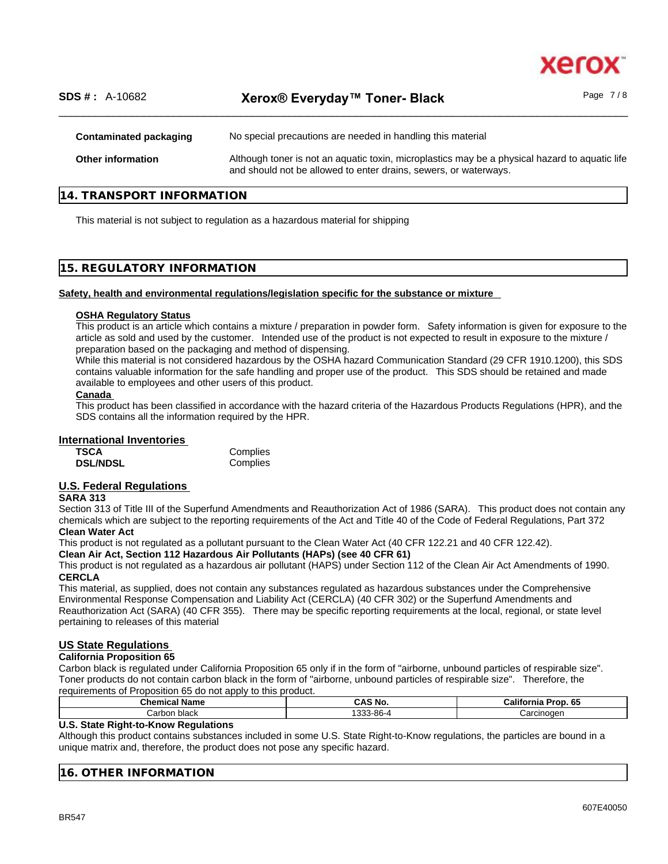

## **14. TRANSPORT INFORMATION**

This material is not subject to regulation as a hazardous material for shipping

#### **15. REGULATORY INFORMATION**

#### **Safety, health and environmental regulations/legislation specific for the substance or mixture**

#### **OSHA Regulatory Status**

This product is an article which contains a mixture / preparation in powder form. Safety information is given for exposure to the article as sold and used by the customer. Intended use of the product is not expected to result in exposure to the mixture / preparation based on the packaging and method of dispensing.

While this material is not considered hazardous by the OSHA hazard Communication Standard (29 CFR 1910.1200), this SDS contains valuable information for the safe handling and proper use of the product. This SDS should be retained and made available to employees and other users of this product.

#### **Canada**

This product has been classified in accordance with the hazard criteria of the Hazardous Products Regulations (HPR), and the SDS contains all the information required by the HPR.

#### **International Inventories**

| TSCA            | Complies |
|-----------------|----------|
| <b>DSL/NDSL</b> | Complies |

## **U.S. Federal Regulations**

#### **SARA 313**

Section 313 of Title III of the Superfund Amendments and Reauthorization Act of 1986 (SARA). This product does not contain any chemicals which are subject to the reporting requirements of the Act and Title 40 of the Code of Federal Regulations, Part 372 **Clean Water Act**

This product is not regulated as a pollutant pursuant to the Clean Water Act (40 CFR 122.21 and 40 CFR 122.42).

#### **Clean Air Act,Section 112 Hazardous Air Pollutants (HAPs) (see 40 CFR 61)**

This product is not regulated as a hazardous air pollutant (HAPS) under Section 112 of the Clean Air Act Amendments of 1990. **CERCLA**

This material, as supplied, does not contain any substances regulated as hazardous substances under the Comprehensive Environmental Response Compensation and Liability Act (CERCLA) (40 CFR 302) or the Superfund Amendments and Reauthorization Act (SARA) (40 CFR 355). There may be specific reporting requirements at the local, regional, or state level pertaining to releases of this material

#### **US State Regulations**

#### **California Proposition 65**

Carbon black is regulated under California Proposition 65 only if in the form of "airborne, unbound particles of respirable size". Toner products do not contain carbon black in the form of "airborne, unbound particles of respirable size". Therefore, the requirements of Proposition 65 do not apply to this product.

| Chemical<br>Name | <b>NO</b><br>$\mathbf{r}$<br>АJ | <b>GF</b><br>California<br>oron.<br>ຸບປ |
|------------------|---------------------------------|-----------------------------------------|
| black<br>Carbon  | 3-86-4<br>$\sim$<br>. .         | Carcinoder                              |

#### **U.S. State Right-to-Know Regulations**

Although this product contains substances included in some U.S. State Right-to-Know regulations, the particles are bound in a unique matrix and, therefore, the product does not pose any specific hazard.

| $\sqrt{N}$<br>$\mathbf{A}$<br>. חי<br>$\mathbf{r}$<br>1 M |  |
|-----------------------------------------------------------|--|
|                                                           |  |

xerc